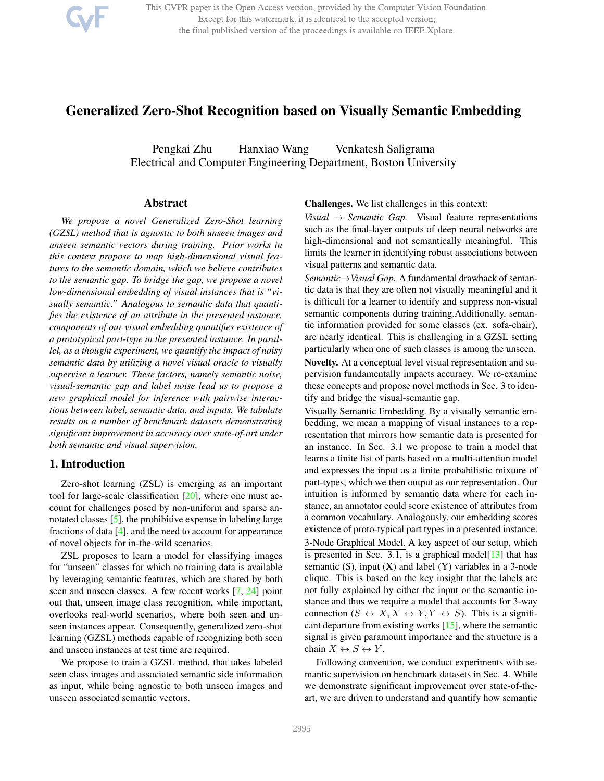

This CVPR paper is the Open Access version, provided by the Computer Vision Foundation. Except for this watermark, it is identical to the accepted version; the final published version of the proceedings is available on IEEE Xplore.

# Generalized Zero-Shot Recognition based on Visually Semantic Embedding

Pengkai Zhu Hanxiao Wang Venkatesh Saligrama Electrical and Computer Engineering Department, Boston University

### Abstract

*We propose a novel Generalized Zero-Shot learning (GZSL) method that is agnostic to both unseen images and unseen semantic vectors during training. Prior works in this context propose to map high-dimensional visual features to the semantic domain, which we believe contributes to the semantic gap. To bridge the gap, we propose a novel low-dimensional embedding of visual instances that is "visually semantic." Analogous to semantic data that quantifies the existence of an attribute in the presented instance, components of our visual embedding quantifies existence of a prototypical part-type in the presented instance. In parallel, as a thought experiment, we quantify the impact of noisy semantic data by utilizing a novel visual oracle to visually supervise a learner. These factors, namely semantic noise, visual-semantic gap and label noise lead us to propose a new graphical model for inference with pairwise interactions between label, semantic data, and inputs. We tabulate results on a number of benchmark datasets demonstrating significant improvement in accuracy over state-of-art under both semantic and visual supervision.*

# 1. Introduction

Zero-shot learning (ZSL) is emerging as an important tool for large-scale classification [20], where one must account for challenges posed by non-uniform and sparse annotated classes [5], the prohibitive expense in labeling large fractions of data [4], and the need to account for appearance of novel objects for in-the-wild scenarios.

ZSL proposes to learn a model for classifying images for "unseen" classes for which no training data is available by leveraging semantic features, which are shared by both seen and unseen classes. A few recent works [7, 24] point out that, unseen image class recognition, while important, overlooks real-world scenarios, where both seen and unseen instances appear. Consequently, generalized zero-shot learning (GZSL) methods capable of recognizing both seen and unseen instances at test time are required.

We propose to train a GZSL method, that takes labeled seen class images and associated semantic side information as input, while being agnostic to both unseen images and unseen associated semantic vectors.

Challenges. We list challenges in this context:

*Visual*  $\rightarrow$  *Semantic Gap.* Visual feature representations such as the final-layer outputs of deep neural networks are high-dimensional and not semantically meaningful. This limits the learner in identifying robust associations between visual patterns and semantic data.

*Semantic*!*Visual Gap.* A fundamental drawback of semantic data is that they are often not visually meaningful and it is difficult for a learner to identify and suppress non-visual semantic components during training.Additionally, semantic information provided for some classes (ex. sofa-chair), are nearly identical. This is challenging in a GZSL setting particularly when one of such classes is among the unseen. Novelty. At a conceptual level visual representation and supervision fundamentally impacts accuracy. We re-examine these concepts and propose novel methods in Sec. 3 to identify and bridge the visual-semantic gap.

Visually Semantic Embedding. By a visually semantic embedding, we mean a mapping of visual instances to a representation that mirrors how semantic data is presented for an instance. In Sec. 3.1 we propose to train a model that learns a finite list of parts based on a multi-attention model and expresses the input as a finite probabilistic mixture of part-types, which we then output as our representation. Our intuition is informed by semantic data where for each instance, an annotator could score existence of attributes from a common vocabulary. Analogously, our embedding scores existence of proto-typical part types in a presented instance. 3-Node Graphical Model. A key aspect of our setup, which is presented in Sec. 3.1, is a graphical model [13] that has semantic  $(S)$ , input  $(X)$  and label  $(Y)$  variables in a 3-node clique. This is based on the key insight that the labels are not fully explained by either the input or the semantic instance and thus we require a model that accounts for 3-way connection  $(S \leftrightarrow X, X \leftrightarrow Y, Y \leftrightarrow S)$ . This is a significant departure from existing works [15], where the semantic signal is given paramount importance and the structure is a chain  $X \leftrightarrow S \leftrightarrow Y$ .

Following convention, we conduct experiments with semantic supervision on benchmark datasets in Sec. 4. While we demonstrate significant improvement over state-of-theart, we are driven to understand and quantify how semantic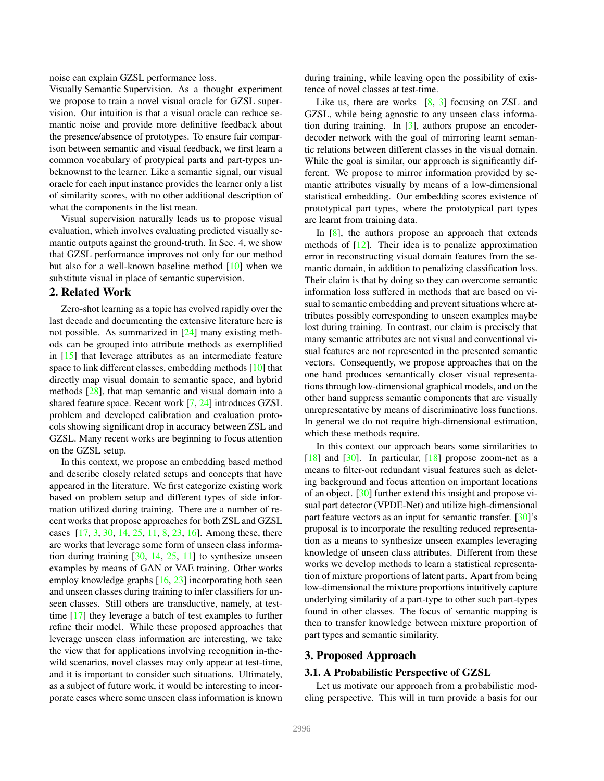noise can explain GZSL performance loss.

Visually Semantic Supervision. As a thought experiment we propose to train a novel visual oracle for GZSL supervision. Our intuition is that a visual oracle can reduce semantic noise and provide more definitive feedback about the presence/absence of prototypes. To ensure fair comparison between semantic and visual feedback, we first learn a common vocabulary of protypical parts and part-types unbeknownst to the learner. Like a semantic signal, our visual oracle for each input instance provides the learner only a list of similarity scores, with no other additional description of what the components in the list mean.

Visual supervision naturally leads us to propose visual evaluation, which involves evaluating predicted visually semantic outputs against the ground-truth. In Sec. 4, we show that GZSL performance improves not only for our method but also for a well-known baseline method [10] when we substitute visual in place of semantic supervision.

# 2. Related Work

Zero-shot learning as a topic has evolved rapidly over the last decade and documenting the extensive literature here is not possible. As summarized in [24] many existing methods can be grouped into attribute methods as exemplified in [15] that leverage attributes as an intermediate feature space to link different classes, embedding methods [10] that directly map visual domain to semantic space, and hybrid methods [28], that map semantic and visual domain into a shared feature space. Recent work [7, 24] introduces GZSL problem and developed calibration and evaluation protocols showing significant drop in accuracy between ZSL and GZSL. Many recent works are beginning to focus attention on the GZSL setup.

In this context, we propose an embedding based method and describe closely related setups and concepts that have appeared in the literature. We first categorize existing work based on problem setup and different types of side information utilized during training. There are a number of recent works that propose approaches for both ZSL and GZSL cases [17, 3, 30, 14, 25, 11, 8, 23, 16]. Among these, there are works that leverage some form of unseen class information during training  $[30, 14, 25, 11]$  to synthesize unseen examples by means of GAN or VAE training. Other works employ knowledge graphs [16, 23] incorporating both seen and unseen classes during training to infer classifiers for unseen classes. Still others are transductive, namely, at testtime [17] they leverage a batch of test examples to further refine their model. While these proposed approaches that leverage unseen class information are interesting, we take the view that for applications involving recognition in-thewild scenarios, novel classes may only appear at test-time, and it is important to consider such situations. Ultimately, as a subject of future work, it would be interesting to incorporate cases where some unseen class information is known during training, while leaving open the possibility of existence of novel classes at test-time.

Like us, there are works  $[8, 3]$  focusing on ZSL and GZSL, while being agnostic to any unseen class information during training. In [3], authors propose an encoderdecoder network with the goal of mirroring learnt semantic relations between different classes in the visual domain. While the goal is similar, our approach is significantly different. We propose to mirror information provided by semantic attributes visually by means of a low-dimensional statistical embedding. Our embedding scores existence of prototypical part types, where the prototypical part types are learnt from training data.

In  $[8]$ , the authors propose an approach that extends methods of [12]. Their idea is to penalize approximation error in reconstructing visual domain features from the semantic domain, in addition to penalizing classification loss. Their claim is that by doing so they can overcome semantic information loss suffered in methods that are based on visual to semantic embedding and prevent situations where attributes possibly corresponding to unseen examples maybe lost during training. In contrast, our claim is precisely that many semantic attributes are not visual and conventional visual features are not represented in the presented semantic vectors. Consequently, we propose approaches that on the one hand produces semantically closer visual representations through low-dimensional graphical models, and on the other hand suppress semantic components that are visually unrepresentative by means of discriminative loss functions. In general we do not require high-dimensional estimation, which these methods require.

In this context our approach bears some similarities to  $[18]$  and  $[30]$ . In particular,  $[18]$  propose zoom-net as a means to filter-out redundant visual features such as deleting background and focus attention on important locations of an object. [30] further extend this insight and propose visual part detector (VPDE-Net) and utilize high-dimensional part feature vectors as an input for semantic transfer. [30]'s proposal is to incorporate the resulting reduced representation as a means to synthesize unseen examples leveraging knowledge of unseen class attributes. Different from these works we develop methods to learn a statistical representation of mixture proportions of latent parts. Apart from being low-dimensional the mixture proportions intuitively capture underlying similarity of a part-type to other such part-types found in other classes. The focus of semantic mapping is then to transfer knowledge between mixture proportion of part types and semantic similarity.

# 3. Proposed Approach

### 3.1. A Probabilistic Perspective of GZSL

Let us motivate our approach from a probabilistic modeling perspective. This will in turn provide a basis for our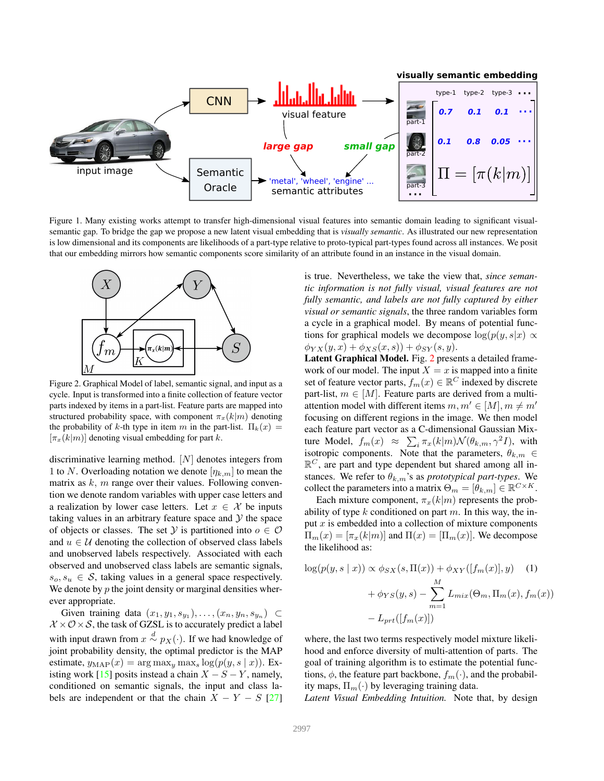

Figure 1. Many existing works attempt to transfer high-dimensional visual features into semantic domain leading to significant visualsemantic gap. To bridge the gap we propose a new latent visual embedding that is *visually semantic*. As illustrated our new representation is low dimensional and its components are likelihoods of a part-type relative to proto-typical part-types found across all instances. We posit that our embedding mirrors how semantic components score similarity of an attribute found in an instance in the visual domain.



Figure 2. Graphical Model of label, semantic signal, and input as a cycle. Input is transformed into a finite collection of feature vector parts indexed by items in a part-list. Feature parts are mapped into structured probability space, with component  $\pi_x(k|m)$  denoting the probability of k-th type in item m in the part-list.  $\Pi_k(x) =$  $[\pi_x(k|m)]$  denoting visual embedding for part k.

discriminative learning method. [N] denotes integers from 1 to N. Overloading notation we denote  $[\eta_{k,m}]$  to mean the matrix as  $k$ , m range over their values. Following convention we denote random variables with upper case letters and a realization by lower case letters. Let  $x \in \mathcal{X}$  be inputs taking values in an arbitrary feature space and  $\mathcal Y$  the space of objects or classes. The set Y is partitioned into  $o \in \mathcal{O}$ and  $u \in U$  denoting the collection of observed class labels and unobserved labels respectively. Associated with each observed and unobserved class labels are semantic signals,  $s_o, s_u \in S$ , taking values in a general space respectively. We denote by  $p$  the joint density or marginal densities wherever appropriate.

Given training data  $(x_1, y_1, s_{y_1}), \ldots, (x_n, y_n, s_{y_n}) \subset$  $X \times \mathcal{O} \times \mathcal{S}$ , the task of GZSL is to accurately predict a label with input drawn from  $x \stackrel{d}{\sim} p_X(\cdot)$ . If we had knowledge of joint probability density, the optimal predictor is the MAP estimate,  $y_{\text{MAP}}(x) = \arg \max_{y} \max_{s} \log(p(y, s | x))$ . Existing work [15] posits instead a chain  $X - S - Y$ , namely, conditioned on semantic signals, the input and class labels are independent or that the chain  $X - Y - S$  [27]

is true. Nevertheless, we take the view that, *since semantic information is not fully visual, visual features are not fully semantic, and labels are not fully captured by either visual or semantic signals*, the three random variables form a cycle in a graphical model. By means of potential functions for graphical models we decompose  $log(p(y, s|x) \propto$  $\phi_{YX}(y, x) + \phi_{XS}(x, s)) + \phi_{SY}(s, y).$ 

Latent Graphical Model. Fig. 2 presents a detailed framework of our model. The input  $X = x$  is mapped into a finite set of feature vector parts,  $f_m(x) \in \mathbb{R}^C$  indexed by discrete part-list,  $m \in [M]$ . Feature parts are derived from a multiattention model with different items  $m, m' \in [M], m \neq m'$ focusing on different regions in the image. We then model each feature part vector as a C-dimensional Gaussian Mixture Model,  $f_m(x) \approx \sum_i \pi_x(k|m) \mathcal{N}(\theta_{k,m}, \gamma^2 I)$ , with isotropic components. Note that the parameters,  $\theta_{k,m} \in$  $\mathbb{R}^C$ , are part and type dependent but shared among all instances. We refer to  $\theta_{k,m}$ 's as *prototypical part-types*. We collect the parameters into a matrix  $\Theta_m = [\theta_{k,m}] \in \mathbb{R}^{C \times K}$ .

Each mixture component,  $\pi_x(k|m)$  represents the probability of type k conditioned on part m. In this way, the input  $x$  is embedded into a collection of mixture components  $\Pi_m(x)=[\pi_x(k|m)]$  and  $\Pi(x)=[\Pi_m(x)]$ . We decompose the likelihood as:

$$
\log(p(y, s \mid x)) \propto \phi_{SX}(s, \Pi(x)) + \phi_{XY}([f_m(x)], y) \quad (1)
$$

$$
+ \phi_{YS}(y, s) - \sum_{m=1}^{M} L_{mix}(\Theta_m, \Pi_m(x), f_m(x))
$$

$$
- L_{prt}([f_m(x)])
$$

where, the last two terms respectively model mixture likelihood and enforce diversity of multi-attention of parts. The goal of training algorithm is to estimate the potential functions,  $\phi$ , the feature part backbone,  $f_m(\cdot)$ , and the probability maps,  $\Pi_m(\cdot)$  by leveraging training data.

*Latent Visual Embedding Intuition.* Note that, by design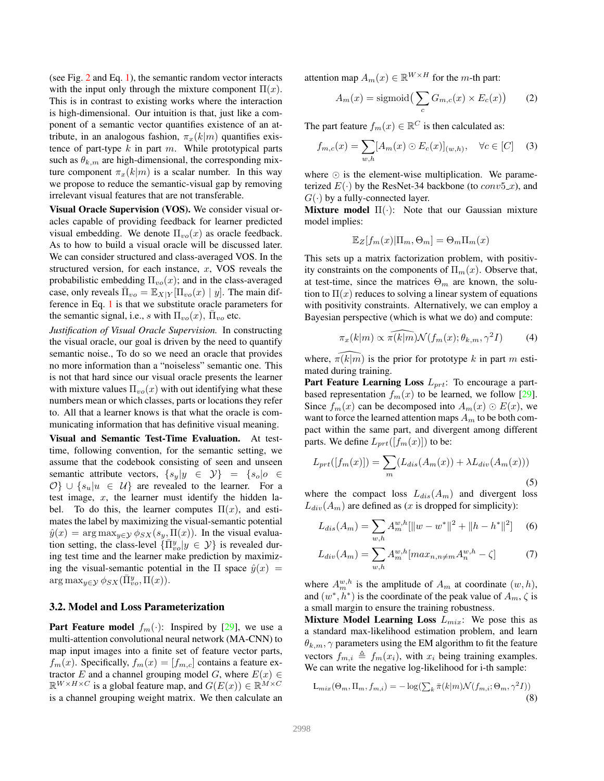(see Fig. 2 and Eq. 1), the semantic random vector interacts with the input only through the mixture component  $\Pi(x)$ . This is in contrast to existing works where the interaction is high-dimensional. Our intuition is that, just like a component of a semantic vector quantifies existence of an attribute, in an analogous fashion,  $\pi_x(k|m)$  quantifies existence of part-type  $k$  in part  $m$ . While prototypical parts such as  $\theta_{k,m}$  are high-dimensional, the corresponding mixture component  $\pi_x(k|m)$  is a scalar number. In this way we propose to reduce the semantic-visual gap by removing irrelevant visual features that are not transferable.

Visual Oracle Supervision (VOS). We consider visual oracles capable of providing feedback for learner predicted visual embedding. We denote  $\Pi_{vo}(x)$  as oracle feedback. As to how to build a visual oracle will be discussed later. We can consider structured and class-averaged VOS. In the structured version, for each instance,  $x$ , VOS reveals the probabilistic embedding  $\Pi_{vo}(x)$ ; and in the class-averaged case, only reveals  $\bar{\Pi}_{vo} = \mathbb{E}_{X|Y}[\Pi_{vo}(x) | y]$ . The main difference in Eq. 1 is that we substitute oracle parameters for the semantic signal, i.e., s with  $\Pi_{vo}(x)$ ,  $\overline{\Pi}_{vo}$  etc.

*Justification of Visual Oracle Supervision.* In constructing the visual oracle, our goal is driven by the need to quantify semantic noise., To do so we need an oracle that provides no more information than a "noiseless" semantic one. This is not that hard since our visual oracle presents the learner with mixture values  $\Pi_{vo}(x)$  with out identifying what these numbers mean or which classes, parts or locations they refer to. All that a learner knows is that what the oracle is communicating information that has definitive visual meaning.

Visual and Semantic Test-Time Evaluation. At testtime, following convention, for the semantic setting, we assume that the codebook consisting of seen and unseen semantic attribute vectors,  $\{s_y | y \in Y\} = \{s_o | o \in$  $\{\mathcal{O}\}\cup\{s_u|u\in\mathcal{U}\}\$ are revealed to the learner. For a test image,  $x$ , the learner must identify the hidden label. To do this, the learner computes  $\Pi(x)$ , and estimates the label by maximizing the visual-semantic potential  $\hat{y}(x) = \arg \max_{y \in \mathcal{Y}} \phi_{SX}(s_y, \Pi(x))$ . In the visual evaluation setting, the class-level  $\{\bar{\Pi}_{vo}^y | y \in \mathcal{Y}\}\$  is revealed during test time and the learner make prediction by maximizing the visual-semantic potential in the  $\Pi$  space  $\hat{y}(x) =$  $\arg \max_{y \in \mathcal{Y}} \phi_{SX}(\bar{\Pi}_{vo}^y, \bar{\Pi}(x)).$ 

### 3.2. Model and Loss Parameterization

**Part Feature model**  $f_m(\cdot)$ : Inspired by [29], we use a multi-attention convolutional neural network (MA-CNN) to map input images into a finite set of feature vector parts,  $f_m(x)$ . Specifically,  $f_m(x)=[f_{m,c}]$  contains a feature extractor E and a channel grouping model G, where  $E(x) \in$  $\mathbb{R}^{W \times H \times C}$  is a global feature map, and  $G(E(x)) \in \mathbb{R}^{M \times C}$ is a channel grouping weight matrix. We then calculate an attention map  $A_m(x) \in \mathbb{R}^{W \times H}$  for the m-th part:

$$
A_m(x) = \text{sigmoid}\left(\sum_c G_{m,c}(x) \times E_c(x)\right) \tag{2}
$$

The part feature  $f_m(x) \in \mathbb{R}^C$  is then calculated as:

$$
f_{m,c}(x) = \sum_{w,h} [A_m(x) \odot E_c(x)]_{(w,h)}, \quad \forall c \in [C] \quad (3)
$$

where  $\odot$  is the element-wise multiplication. We parameterized  $E(\cdot)$  by the ResNet-34 backbone (to  $conv5_x$ ), and  $G(\cdot)$  by a fully-connected layer.

Mixture model  $\Pi(\cdot)$ : Note that our Gaussian mixture model implies:

$$
\mathbb{E}_Z[f_m(x)|\Pi_m,\Theta_m] = \Theta_m \Pi_m(x)
$$

This sets up a matrix factorization problem, with positivity constraints on the components of  $\Pi_m(x)$ . Observe that, at test-time, since the matrices  $\Theta_m$  are known, the solution to  $\Pi(x)$  reduces to solving a linear system of equations with positivity constraints. Alternatively, we can employ a Bayesian perspective (which is what we do) and compute:

$$
\pi_x(k|m) \propto \widehat{\pi(k|m)} \mathcal{N}(f_m(x); \theta_{k,m}, \gamma^2 I) \tag{4}
$$

where,  $\pi(k|m)$  is the prior for prototype k in part m estimated during training.

**Part Feature Learning Loss**  $L_{prt}$ : To encourage a partbased representation  $f_m(x)$  to be learned, we follow [29]. Since  $f_m(x)$  can be decomposed into  $A_m(x) \odot E(x)$ , we want to force the learned attention maps  $A_m$  to be both compact within the same part, and divergent among different parts. We define  $L_{prt}([f_m(x)])$  to be:

$$
L_{prt}([f_m(x)]) = \sum_{m} (L_{dis}(A_m(x)) + \lambda L_{div}(A_m(x)))
$$
\n(5)

where the compact loss  $L_{dis}(A_m)$  and divergent loss  $L_{div}(A_m)$  are defined as (x is dropped for simplicity):

$$
L_{dis}(A_m) = \sum_{w,h} A_m^{w,h} [\|w - w^*\|^2 + \|h - h^*\|^2] \tag{6}
$$

$$
L_{div}(A_m) = \sum_{w,h} A_m^{w,h} [max_{n,n \neq m} A_n^{w,h} - \zeta]
$$
 (7)

where  $A_m^{w,h}$  is the amplitude of  $A_m$  at coordinate  $(w, h)$ , and  $(w^*, h^*)$  is the coordinate of the peak value of  $A_m$ ,  $\zeta$  is a small margin to ensure the training robustness.

**Mixture Model Learning Loss**  $L_{mix}$ : We pose this as a standard max-likelihood estimation problem, and learn  $\theta_{k,m}$ ,  $\gamma$  parameters using the EM algorithm to fit the feature vectors  $f_{m,i} \triangleq f_m(x_i)$ , with  $x_i$  being training examples. We can write the negative log-likelihood for i-th sample:

$$
L_{mix}(\Theta_m, \Pi_m, f_{m,i}) = -\log(\sum_k \bar{\pi}(k|m) \mathcal{N}(f_{m,i}; \Theta_m, \gamma^2 I))
$$
\n(8)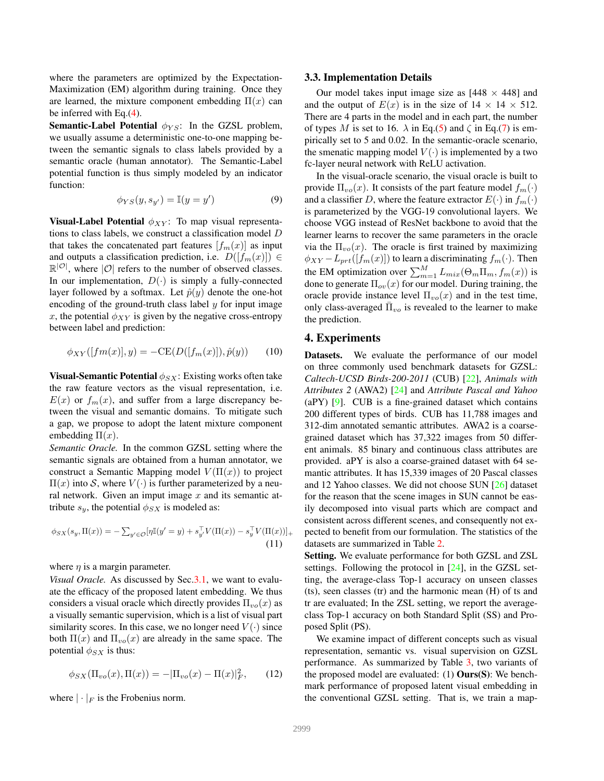where the parameters are optimized by the Expectation-Maximization (EM) algorithm during training. Once they are learned, the mixture component embedding  $\Pi(x)$  can be inferred with Eq.(4).

**Semantic-Label Potential**  $\phi_{YS}$ : In the GZSL problem, we usually assume a deterministic one-to-one mapping between the semantic signals to class labels provided by a semantic oracle (human annotator). The Semantic-Label potential function is thus simply modeled by an indicator function:

$$
\phi_{YS}(y, s_{y'}) = \mathbb{I}(y = y')
$$
\n(9)

Visual-Label Potential  $\phi_{XY}$ : To map visual representations to class labels, we construct a classification model D that takes the concatenated part features  $[f_m(x)]$  as input and outputs a classification prediction, i.e.  $D([f_m(x)]) \in$  $\mathbb{R}^{|O|}$ , where  $|O|$  refers to the number of observed classes. In our implementation,  $D(\cdot)$  is simply a fully-connected layer followed by a softmax. Let  $\hat{p}(y)$  denote the one-hot encoding of the ground-truth class label  $y$  for input image x, the potential  $\phi_{XY}$  is given by the negative cross-entropy between label and prediction:

$$
\phi_{XY}([fm(x)], y) = -\text{CE}(D([f_m(x)]), \hat{p}(y)) \tag{10}
$$

**Visual-Semantic Potential**  $\phi_{SX}$ : Existing works often take the raw feature vectors as the visual representation, i.e.  $E(x)$  or  $f_m(x)$ , and suffer from a large discrepancy between the visual and semantic domains. To mitigate such a gap, we propose to adopt the latent mixture component embedding  $\Pi(x)$ .

*Semantic Oracle.* In the common GZSL setting where the semantic signals are obtained from a human annotator, we construct a Semantic Mapping model  $V(\Pi(x))$  to project  $\Pi(x)$  into S, where  $V(\cdot)$  is further parameterized by a neural network. Given an imput image  $x$  and its semantic attribute  $s_y$ , the potential  $\phi_{SX}$  is modeled as:

$$
\phi_{SX}(s_y, \Pi(x)) = -\sum_{y' \in \mathcal{O}} [\eta \mathbb{I}(y' = y) + s_{y'}^{\top} V(\Pi(x)) - s_{y}^{\top} V(\Pi(x))]_{+}
$$
\n(11)

where  $\eta$  is a margin parameter.

*Visual Oracle.* As discussed by Sec.3.1, we want to evaluate the efficacy of the proposed latent embedding. We thus considers a visual oracle which directly provides  $\Pi_{vo}(x)$  as a visually semantic supervision, which is a list of visual part similarity scores. In this case, we no longer need  $V(\cdot)$  since both  $\Pi(x)$  and  $\Pi_{vo}(x)$  are already in the same space. The potential  $\phi_{SX}$  is thus:

$$
\phi_{SX}(\Pi_{vo}(x), \Pi(x)) = -|\Pi_{vo}(x) - \Pi(x)|_F^2, \qquad (12)
$$

where  $|\cdot|_F$  is the Frobenius norm.

#### 3.3. Implementation Details

Our model takes input image size as  $[448 \times 448]$  and and the output of  $E(x)$  is in the size of  $14 \times 14 \times 512$ . There are 4 parts in the model and in each part, the number of types M is set to 16.  $\lambda$  in Eq.(5) and  $\zeta$  in Eq.(7) is empirically set to 5 and 0.02. In the semantic-oracle scenario, the smenatic mapping model  $V(\cdot)$  is implemented by a two fc-layer neural network with ReLU activation.

In the visual-oracle scenario, the visual oracle is built to provide  $\Pi_{vo}(x)$ . It consists of the part feature model  $f_m(\cdot)$ and a classifier D, where the feature extractor  $E(\cdot)$  in  $f_m(\cdot)$ is parameterized by the VGG-19 convolutional layers. We choose VGG instead of ResNet backbone to avoid that the learner learns to recover the same parameters in the oracle via the  $\Pi_{vo}(x)$ . The oracle is first trained by maximizing  $\phi_{XY} - L_{prt}([f_m(x)])$  to learn a discriminating  $f_m(\cdot)$ . Then the EM optimization over  $\sum_{m=1}^{M} L_{mix}(\Theta_m \Pi_m, f_m(x))$  is done to generate  $\Pi_{ov}(x)$  for our model. During training, the oracle provide instance level  $\Pi_{vo}(x)$  and in the test time, only class-averaged  $\bar{\Pi}_{vo}$  is revealed to the learner to make the prediction.

#### 4. Experiments

Datasets. We evaluate the performance of our model on three commonly used benchmark datasets for GZSL: *Caltech-UCSD Birds-200-2011* (CUB) [22], *Animals with Attributes 2* (AWA2) [24] and *Attribute Pascal and Yahoo* (aPY)  $[9]$ . CUB is a fine-grained dataset which contains 200 different types of birds. CUB has 11,788 images and 312-dim annotated semantic attributes. AWA2 is a coarsegrained dataset which has 37,322 images from 50 different animals. 85 binary and continuous class attributes are provided. aPY is also a coarse-grained dataset with 64 semantic attributes. It has 15,339 images of 20 Pascal classes and 12 Yahoo classes. We did not choose SUN [26] dataset for the reason that the scene images in SUN cannot be easily decomposed into visual parts which are compact and consistent across different scenes, and consequently not expected to benefit from our formulation. The statistics of the datasets are summarized in Table 2.

Setting. We evaluate performance for both GZSL and ZSL settings. Following the protocol in [24], in the GZSL setting, the average-class Top-1 accuracy on unseen classes (ts), seen classes (tr) and the harmonic mean (H) of ts and tr are evaluated; In the ZSL setting, we report the averageclass Top-1 accuracy on both Standard Split (SS) and Proposed Split (PS).

We examine impact of different concepts such as visual representation, semantic vs. visual supervision on GZSL performance. As summarized by Table 3, two variants of the proposed model are evaluated:  $(1)$  **Ours(S)**: We benchmark performance of proposed latent visual embedding in the conventional GZSL setting. That is, we train a map-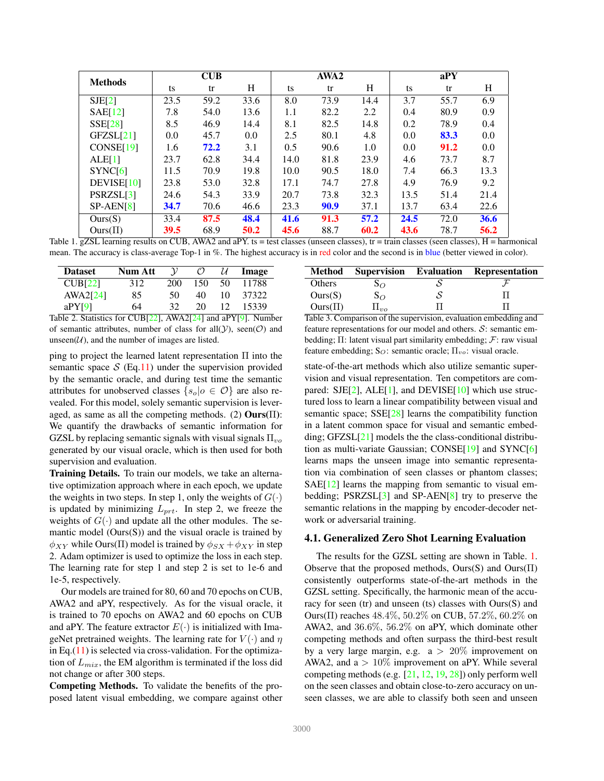| <b>Methods</b> |      | <b>CUB</b> |      |      | AWA2 |      |      | $a$ PY |      |
|----------------|------|------------|------|------|------|------|------|--------|------|
|                | ts   | tr         | H    | ts   | tr   | H    | ts   | tr     | H    |
| SJE[2]         | 23.5 | 59.2       | 33.6 | 8.0  | 73.9 | 14.4 | 3.7  | 55.7   | 6.9  |
| SAE[12]        | 7.8  | 54.0       | 13.6 | 1.1  | 82.2 | 2.2  | 0.4  | 80.9   | 0.9  |
| SSE[28]        | 8.5  | 46.9       | 14.4 | 8.1  | 82.5 | 14.8 | 0.2  | 78.9   | 0.4  |
| GFZSL[21]      | 0.0  | 45.7       | 0.0  | 2.5  | 80.1 | 4.8  | 0.0  | 83.3   | 0.0  |
| CONF[19]       | 1.6  | 72.2       | 3.1  | 0.5  | 90.6 | 1.0  | 0.0  | 91.2   | 0.0  |
| ALE[1]         | 23.7 | 62.8       | 34.4 | 14.0 | 81.8 | 23.9 | 4.6  | 73.7   | 8.7  |
| SYNC[6]        | 11.5 | 70.9       | 19.8 | 10.0 | 90.5 | 18.0 | 7.4  | 66.3   | 13.3 |
| DEVISE[10]     | 23.8 | 53.0       | 32.8 | 17.1 | 74.7 | 27.8 | 4.9  | 76.9   | 9.2  |
| PSRZSL[3]      | 24.6 | 54.3       | 33.9 | 20.7 | 73.8 | 32.3 | 13.5 | 51.4   | 21.4 |
| $SP-AEN[8]$    | 34.7 | 70.6       | 46.6 | 23.3 | 90.9 | 37.1 | 13.7 | 63.4   | 22.6 |
| Ours(S)        | 33.4 | 87.5       | 48.4 | 41.6 | 91.3 | 57.2 | 24.5 | 72.0   | 36.6 |
| $Ours(\Pi)$    | 39.5 | 68.9       | 50.2 | 45.6 | 88.7 | 60.2 | 43.6 | 78.7   | 56.2 |

Table 1. gZSL learning results on CUB, AWA2 and aPY. ts = test classes (unseen classes), tr = train classes (seen classes),  $H =$  harmonical mean. The accuracy is class-average Top-1 in %. The highest accuracy is in red color and the second is in blue (better viewed in color).

| <b>Dataset</b>              | Num Att | $\mathcal V$          | $\mathcal{C}$ | U               | Image            |
|-----------------------------|---------|-----------------------|---------------|-----------------|------------------|
| CUB[22]                     | 312     | 200                   | 150           | 50              | 11788            |
| AWA2[24]                    | 85      | 50                    | 40            | 10              | 37322            |
| aPY[9]                      | 64      | 32.                   | 20            | 12 <sup>7</sup> | 15339            |
| $\sim$ $\sim$ $\sim$ $\sim$ | $-$     | $1.7771$ $2.78$ $1.7$ |               |                 | <b>THE TERMS</b> |

Table 2. Statistics for CUB[22], AWA2[24] and aPY[9]. Number of semantic attributes, number of class for all  $(Y)$ , seen $(\mathcal{O})$  and unseen $(U)$ , and the number of images are listed.

ping to project the learned latent representation Π into the semantic space  $S$  (Eq.11) under the supervision provided by the semantic oracle, and during test time the semantic attributes for unobserved classes  $\{s_o|o \in \mathcal{O}\}\$ are also revealed. For this model, solely semantic supervision is leveraged, as same as all the competing methods. (2) **Ours** $(\Pi)$ : We quantify the drawbacks of semantic information for GZSL by replacing semantic signals with visual signals  $\Pi_{vo}$ generated by our visual oracle, which is then used for both supervision and evaluation.

Training Details. To train our models, we take an alternative optimization approach where in each epoch, we update the weights in two steps. In step 1, only the weights of  $G(\cdot)$ is updated by minimizing  $L_{prt}$ . In step 2, we freeze the weights of  $G(\cdot)$  and update all the other modules. The semantic model  $(Ours(S))$  and the visual oracle is trained by  $\phi_{XY}$  while Ours(Π) model is trained by  $\phi_{SX} + \phi_{XY}$  in step 2. Adam optimizer is used to optimize the loss in each step. The learning rate for step 1 and step 2 is set to 1e-6 and 1e-5, respectively.

Our models are trained for 80, 60 and 70 epochs on CUB, AWA2 and aPY, respectively. As for the visual oracle, it is trained to 70 epochs on AWA2 and 60 epochs on CUB and aPY. The feature extractor  $E(\cdot)$  is initialized with ImageNet pretrained weights. The learning rate for  $V(\cdot)$  and  $\eta$ in Eq. $(11)$  is selected via cross-validation. For the optimization of  $L_{mix}$ , the EM algorithm is terminated if the loss did not change or after 300 steps.

Competing Methods. To validate the benefits of the proposed latent visual embedding, we compare against other

|             |            |   | Method Supervision Evaluation Representation |
|-------------|------------|---|----------------------------------------------|
| Others      | $S_{O}$    |   |                                              |
| Ours(S)     | $S_{O}$    | S |                                              |
| $Ours(\Pi)$ | $\Pi_{no}$ |   |                                              |

Table 3. Comparison of the supervision, evaluation embedding and feature representations for our model and others.  $S$ : semantic embedding;  $\Pi$ : latent visual part similarity embedding;  $F$ : raw visual feature embedding;  $S_O$ : semantic oracle;  $\Pi_{vo}$ : visual oracle.

state-of-the-art methods which also utilize semantic supervision and visual representation. Ten competitors are compared:  $SJE[2]$ ,  $ALE[1]$ , and  $DEVISE[10]$  which use structured loss to learn a linear compatibility between visual and semantic space; SSE[28] learns the compatibility function in a latent common space for visual and semantic embedding; GFZSL[21] models the the class-conditional distribution as multi-variate Gaussian; CONSE[19] and SYNC[6] learns maps the unseen image into semantic representation via combination of seen classes or phantom classes; SAE[12] learns the mapping from semantic to visual embedding; PSRZSL[3] and SP-AEN[8] try to preserve the semantic relations in the mapping by encoder-decoder network or adversarial training.

#### 4.1. Generalized Zero Shot Learning Evaluation

The results for the GZSL setting are shown in Table. 1. Observe that the proposed methods, Ours(S) and Ours(Π) consistently outperforms state-of-the-art methods in the GZSL setting. Specifically, the harmonic mean of the accuracy for seen (tr) and unseen (ts) classes with Ours(S) and Ours(Π) reaches 48.4%, 50.2% on CUB, 57.2%, 60.2% on AWA2, and 36.6%, 56.2% on aPY, which dominate other competing methods and often surpass the third-best result by a very large margin, e.g.  $a > 20\%$  improvement on AWA2, and a  $> 10\%$  improvement on aPY. While several competing methods (e.g. [21, 12, 19, 28]) only perform well on the seen classes and obtain close-to-zero accuracy on unseen classes, we are able to classify both seen and unseen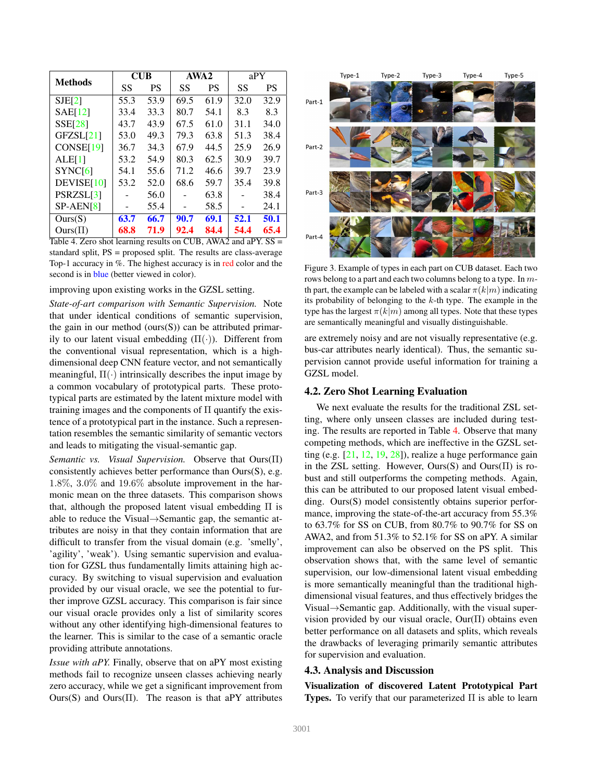| <b>Methods</b>        | CUB  |      |      | AWA <sub>2</sub> | aPY  |           |  |
|-----------------------|------|------|------|------------------|------|-----------|--|
|                       | SS   | PS   | SS   | PS               | SS   | <b>PS</b> |  |
| SJE[2]                | 55.3 | 53.9 | 69.5 | 61.9             | 32.0 | 32.9      |  |
| SAE[12]               | 33.4 | 33.3 | 80.7 | 54.1             | 8.3  | 8.3       |  |
| <b>SSE[28]</b>        | 43.7 | 43.9 | 67.5 | 61.0             | 31.1 | 34.0      |  |
| GFZSL[21]             | 53.0 | 49.3 | 79.3 | 63.8             | 51.3 | 38.4      |  |
| CONSE <sup>[19]</sup> | 36.7 | 34.3 | 67.9 | 44.5             | 25.9 | 26.9      |  |
| ALE[1]                | 53.2 | 54.9 | 80.3 | 62.5             | 30.9 | 39.7      |  |
| SYNC[6]               | 54.1 | 55.6 | 71.2 | 46.6             | 39.7 | 23.9      |  |
| DEVISE[10]            | 53.2 | 52.0 | 68.6 | 59.7             | 35.4 | 39.8      |  |
| PSRZSL[3]             |      | 56.0 |      | 63.8             |      | 38.4      |  |
| $SP-AEN[8]$           |      | 55.4 |      | 58.5             |      | 24.1      |  |
| Ours(S)               | 63.7 | 66.7 | 90.7 | 69.1             | 52.1 | 50.1      |  |
| $Ours(\Pi)$           | 68.8 | 71.9 | 92.4 | 84.4             | 54.4 | 65.4      |  |

Table 4. Zero shot learning results on CUB, AWA2 and aPY. SS = standard split, PS = proposed split. The results are class-average Top-1 accuracy in %. The highest accuracy is in red color and the second is in blue (better viewed in color).

#### improving upon existing works in the GZSL setting.

*State-of-art comparison with Semantic Supervision.* Note that under identical conditions of semantic supervision, the gain in our method (ours $(S)$ ) can be attributed primarily to our latent visual embedding  $(\Pi(\cdot))$ . Different from the conventional visual representation, which is a highdimensional deep CNN feature vector, and not semantically meaningful,  $\Pi(\cdot)$  intrinsically describes the input image by a common vocabulary of prototypical parts. These prototypical parts are estimated by the latent mixture model with training images and the components of  $\Pi$  quantify the existence of a prototypical part in the instance. Such a representation resembles the semantic similarity of semantic vectors and leads to mitigating the visual-semantic gap.

*Semantic vs. Visual Supervision.* Observe that Ours(Π) consistently achieves better performance than Ours(S), e.g. 1.8%, 3.0% and 19.6% absolute improvement in the harmonic mean on the three datasets. This comparison shows that, although the proposed latent visual embedding Π is able to reduce the Visual $\rightarrow$ Semantic gap, the semantic attributes are noisy in that they contain information that are difficult to transfer from the visual domain (e.g. 'smelly', 'agility', 'weak'). Using semantic supervision and evaluation for GZSL thus fundamentally limits attaining high accuracy. By switching to visual supervision and evaluation provided by our visual oracle, we see the potential to further improve GZSL accuracy. This comparison is fair since our visual oracle provides only a list of similarity scores without any other identifying high-dimensional features to the learner. This is similar to the case of a semantic oracle providing attribute annotations.

*Issue with aPY.* Finally, observe that on aPY most existing methods fail to recognize unseen classes achieving nearly zero accuracy, while we get a significant improvement from Ours(S) and Ours( $\Pi$ ). The reason is that aPY attributes



Figure 3. Example of types in each part on CUB dataset. Each two rows belong to a part and each two columns belong to a type. In mth part, the example can be labeled with a scalar  $\pi(k|m)$  indicating its probability of belonging to the  $k$ -th type. The example in the type has the largest  $\pi(k|m)$  among all types. Note that these types are semantically meaningful and visually distinguishable.

are extremely noisy and are not visually representative (e.g. bus-car attributes nearly identical). Thus, the semantic supervision cannot provide useful information for training a GZSL model.

### 4.2. Zero Shot Learning Evaluation

We next evaluate the results for the traditional ZSL setting, where only unseen classes are included during testing. The results are reported in Table 4. Observe that many competing methods, which are ineffective in the GZSL setting (e.g. [21, 12, 19, 28]), realize a huge performance gain in the ZSL setting. However, Ours(S) and Ours(Π) is robust and still outperforms the competing methods. Again, this can be attributed to our proposed latent visual embedding. Ours(S) model consistently obtains superior performance, improving the state-of-the-art accuracy from 55.3% to 63.7% for SS on CUB, from 80.7% to 90.7% for SS on AWA2, and from 51.3% to 52.1% for SS on aPY. A similar improvement can also be observed on the PS split. This observation shows that, with the same level of semantic supervision, our low-dimensional latent visual embedding is more semantically meaningful than the traditional highdimensional visual features, and thus effectively bridges the Visual $\rightarrow$ Semantic gap. Additionally, with the visual supervision provided by our visual oracle, Our(Π) obtains even better performance on all datasets and splits, which reveals the drawbacks of leveraging primarily semantic attributes for supervision and evaluation.

### 4.3. Analysis and Discussion

Visualization of discovered Latent Prototypical Part Types. To verify that our parameterized Π is able to learn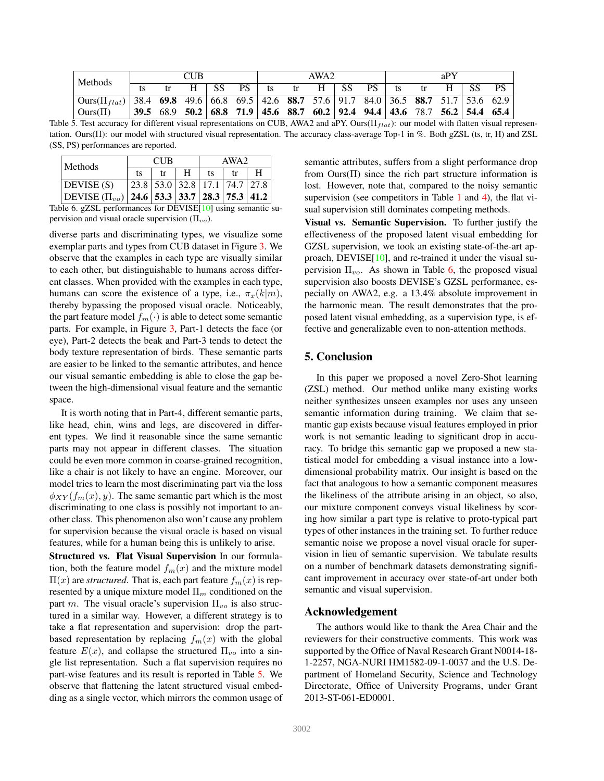| CUB.<br>  Methods                                                                                                                      |  |  |  |    | AWA2 |    |    |   | aPY  |     |    |  |  |     |                                                                                                                                                         |
|----------------------------------------------------------------------------------------------------------------------------------------|--|--|--|----|------|----|----|---|------|-----|----|--|--|-----|---------------------------------------------------------------------------------------------------------------------------------------------------------|
|                                                                                                                                        |  |  |  | SS | PS – | ts | tr | н | - SS | PS. | ts |  |  | -SS | <b>PS</b>                                                                                                                                               |
| $\left[\text{Ours}(\Pi_{flat})\right]$ 38.4 <b>69.8</b> 49.6 66.8 69.5 42.6 <b>88.7</b> 57.6 91.7 84.0 36.5 <b>88.7</b> 51.7 53.6 62.9 |  |  |  |    |      |    |    |   |      |     |    |  |  |     |                                                                                                                                                         |
| $\vert$ Ours $(\Pi)$                                                                                                                   |  |  |  |    |      |    |    |   |      |     |    |  |  |     | $39.5\quad 68.9\quad 50.2\quad 68.8\quad 71.9\quad 45.6\quad 88.7\quad 60.2\quad 92.4\quad 94.4\quad 43.6\quad 78.7\quad 56.2\quad 54.4\quad 65.4\quad$ |

Table 5. Test accuracy for different visual representations on CUB, AWA2 and aPY. Ours( $\Pi_{flat}$ ): our model with flatten visual representation. Ours(Π): our model with structured visual representation. The accuracy class-average Top-1 in %. Both gZSL (ts, tr, H) and ZSL (SS, PS) performances are reported.

| <b>Methods</b>      |    | <b>CUB</b> |                               | AWA2 |  |   |  |
|---------------------|----|------------|-------------------------------|------|--|---|--|
|                     | ts | tr         |                               | ts   |  | н |  |
| DEVISE (S)          |    |            | 23.8 53.0 32.8 17.1 74.7 27.8 |      |  |   |  |
| DEVISE $(\Pi_{vo})$ |    |            | 24.6 53.3 33.7 28.3 75.3 41.2 |      |  |   |  |
|                     |    |            | 8811108101                    |      |  |   |  |

Table 6. gZSL performances for DEVISE[10] using semantic supervision and visual oracle supervision  $(\Pi_{vo})$ .

diverse parts and discriminating types, we visualize some exemplar parts and types from CUB dataset in Figure 3. We observe that the examples in each type are visually similar to each other, but distinguishable to humans across different classes. When provided with the examples in each type, humans can score the existence of a type, i.e.,  $\pi_x(k|m)$ , thereby bypassing the proposed visual oracle. Noticeably, the part feature model  $f_m(\cdot)$  is able to detect some semantic parts. For example, in Figure 3, Part-1 detects the face (or eye), Part-2 detects the beak and Part-3 tends to detect the body texture representation of birds. These semantic parts are easier to be linked to the semantic attributes, and hence our visual semantic embedding is able to close the gap between the high-dimensional visual feature and the semantic space.

It is worth noting that in Part-4, different semantic parts, like head, chin, wins and legs, are discovered in different types. We find it reasonable since the same semantic parts may not appear in different classes. The situation could be even more common in coarse-grained recognition, like a chair is not likely to have an engine. Moreover, our model tries to learn the most discriminating part via the loss  $\phi_{XY}(f_m(x), y)$ . The same semantic part which is the most discriminating to one class is possibly not important to another class. This phenomenon also won't cause any problem for supervision because the visual oracle is based on visual features, while for a human being this is unlikely to arise.

Structured vs. Flat Visual Supervision In our formulation, both the feature model  $f_m(x)$  and the mixture model  $\Pi(x)$  are *structured*. That is, each part feature  $f_m(x)$  is represented by a unique mixture model  $\Pi_m$  conditioned on the part m. The visual oracle's supervision  $\Pi_{vo}$  is also structured in a similar way. However, a different strategy is to take a flat representation and supervision: drop the partbased representation by replacing  $f_m(x)$  with the global feature  $E(x)$ , and collapse the structured  $\Pi_{vo}$  into a single list representation. Such a flat supervision requires no part-wise features and its result is reported in Table 5. We observe that flattening the latent structured visual embedding as a single vector, which mirrors the common usage of semantic attributes, suffers from a slight performance drop from Ours $(\Pi)$  since the rich part structure information is lost. However, note that, compared to the noisy semantic supervision (see competitors in Table 1 and 4), the flat visual supervision still dominates competing methods.

Visual vs. Semantic Supervision. To further justify the effectiveness of the proposed latent visual embedding for GZSL supervision, we took an existing state-of-the-art approach, DEVISE[10], and re-trained it under the visual supervision  $\Pi_{vo}$ . As shown in Table 6, the proposed visual supervision also boosts DEVISE's GZSL performance, especially on AWA2, e.g. a 13.4% absolute improvement in the harmonic mean. The result demonstrates that the proposed latent visual embedding, as a supervision type, is effective and generalizable even to non-attention methods.

# 5. Conclusion

In this paper we proposed a novel Zero-Shot learning (ZSL) method. Our method unlike many existing works neither synthesizes unseen examples nor uses any unseen semantic information during training. We claim that semantic gap exists because visual features employed in prior work is not semantic leading to significant drop in accuracy. To bridge this semantic gap we proposed a new statistical model for embedding a visual instance into a lowdimensional probability matrix. Our insight is based on the fact that analogous to how a semantic component measures the likeliness of the attribute arising in an object, so also, our mixture component conveys visual likeliness by scoring how similar a part type is relative to proto-typical part types of other instances in the training set. To further reduce semantic noise we propose a novel visual oracle for supervision in lieu of semantic supervision. We tabulate results on a number of benchmark datasets demonstrating significant improvement in accuracy over state-of-art under both semantic and visual supervision.

# Acknowledgement

The authors would like to thank the Area Chair and the reviewers for their constructive comments. This work was supported by the Office of Naval Research Grant N0014-18- 1-2257, NGA-NURI HM1582-09-1-0037 and the U.S. Department of Homeland Security, Science and Technology Directorate, Office of University Programs, under Grant 2013-ST-061-ED0001.